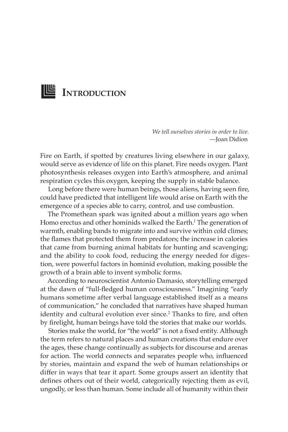## **INTRODUCTION**

*We tell ourselves stories in order to live.* —Joan Didion

Fire on Earth, if spotted by creatures living elsewhere in our galaxy, would serve as evidence of life on this planet. Fire needs oxygen. Plant photosynthesis releases oxygen into Earth's atmosphere, and animal respiration cycles this oxygen, keeping the supply in stable balance.

Long before there were human beings, those aliens, having seen fire, could have predicted that intelligent life would arise on Earth with the emergence of a species able to carry, control, and use combustion.

The Promethean spark was ignited about a million years ago when Homo erectus and other hominids walked the Earth.<sup>1</sup> The generation of warmth, enabling bands to migrate into and survive within cold climes; the flames that protected them from predators; the increase in calories that came from burning animal habitats for hunting and scavenging; and the ability to cook food, reducing the energy needed for digestion, were powerful factors in hominid evolution, making possible the growth of a brain able to invent symbolic forms.

According to neuroscientist Antonio Damasio, storytelling emerged at the dawn of "full-fledged human consciousness." Imagining "early humans sometime after verbal language established itself as a means of communication," he concluded that narratives have shaped human identity and cultural evolution ever since.<sup>2</sup> Thanks to fire, and often by firelight, human beings have told the stories that make our worlds.

Stories make the world, for "the world" is not a fixed entity. Although the term refers to natural places and human creations that endure over the ages, these change continually as subjects for discourse and arenas for action. The world connects and separates people who, influenced by stories, maintain and expand the web of human relationships or differ in ways that tear it apart. Some groups assert an identity that defines others out of their world, categorically rejecting them as evil, ungodly, or less than human. Some include all of humanity within their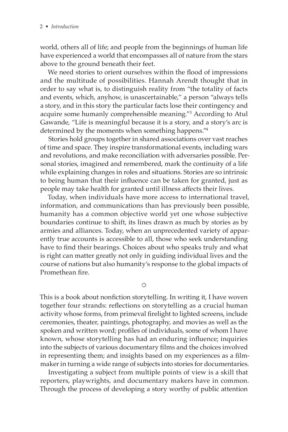world, others all of life; and people from the beginnings of human life have experienced a world that encompasses all of nature from the stars above to the ground beneath their feet.

We need stories to orient ourselves within the flood of impressions and the multitude of possibilities. Hannah Arendt thought that in order to say what is, to distinguish reality from "the totality of facts and events, which, anyhow, is unascertainable," a person "always tells a story, and in this story the particular facts lose their contingency and acquire some humanly comprehensible meaning."<sup>3</sup> According to Atul Gawande, "Life is meaningful because it is a story, and a story's arc is determined by the moments when something happens."<sup>4</sup>

Stories hold groups together in shared associations over vast reaches of time and space. They inspire transformational events, including wars and revolutions, and make reconciliation with adversaries possible. Personal stories, imagined and remembered, mark the continuity of a life while explaining changes in roles and situations. Stories are so intrinsic to being human that their influence can be taken for granted, just as people may take health for granted until illness affects their lives.

Today, when individuals have more access to international travel, information, and communications than has previously been possible, humanity has a common objective world yet one whose subjective boundaries continue to shift, its lines drawn as much by stories as by armies and alliances. Today, when an unprecedented variety of apparently true accounts is accessible to all, those who seek understanding have to find their bearings. Choices about who speaks truly and what is right can matter greatly not only in guiding individual lives and the course of nations but also humanity's response to the global impacts of Promethean fire.

B

This is a book about nonfiction storytelling. In writing it, I have woven together four strands: reflections on storytelling as a crucial human activity whose forms, from primeval firelight to lighted screens, include ceremonies, theater, paintings, photography, and movies as well as the spoken and written word; profiles of individuals, some of whom I have known, whose storytelling has had an enduring influence; inquiries into the subjects of various documentary films and the choices involved in representing them; and insights based on my experiences as a filmmaker in turning a wide range of subjects into stories for documentaries.

Investigating a subject from multiple points of view is a skill that reporters, playwrights, and documentary makers have in common. Through the process of developing a story worthy of public attention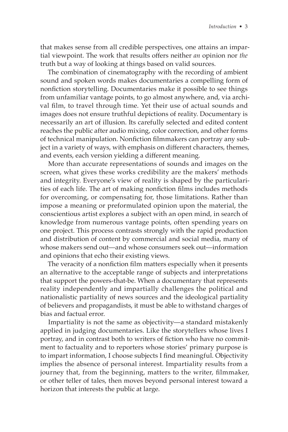that makes sense from all credible perspectives, one attains an impartial viewpoint. The work that results offers neither *an* opinion nor *the* truth but a way of looking at things based on valid sources.

The combination of cinematography with the recording of ambient sound and spoken words makes documentaries a compelling form of nonfiction storytelling. Documentaries make it possible to see things from unfamiliar vantage points, to go almost anywhere, and, via archival film, to travel through time. Yet their use of actual sounds and images does not ensure truthful depictions of reality. Documentary is necessarily an art of illusion. Its carefully selected and edited content reaches the public after audio mixing, color correction, and other forms of technical manipulation. Nonfiction filmmakers can portray any subject in a variety of ways, with emphasis on different characters, themes, and events, each version yielding a different meaning.

More than accurate representations of sounds and images on the screen, what gives these works credibility are the makers' methods and integrity. Everyone's view of reality is shaped by the particularities of each life. The art of making nonfiction films includes methods for overcoming, or compensating for, those limitations. Rather than impose a meaning or preformulated opinion upon the material, the conscientious artist explores a subject with an open mind, in search of knowledge from numerous vantage points, often spending years on one project. This process contrasts strongly with the rapid production and distribution of content by commercial and social media, many of whose makers send out—and whose consumers seek out—information and opinions that echo their existing views.

The veracity of a nonfiction film matters especially when it presents an alternative to the acceptable range of subjects and interpretations that support the powers-that-be. When a documentary that represents reality independently and impartially challenges the political and nationalistic partiality of news sources and the ideological partiality of believers and propagandists, it must be able to withstand charges of bias and factual error.

Impartiality is not the same as objectivity—a standard mistakenly applied in judging documentaries. Like the storytellers whose lives I portray, and in contrast both to writers of fiction who have no commitment to factuality and to reporters whose stories' primary purpose is to impart information, I choose subjects I find meaningful. Objectivity implies the absence of personal interest. Impartiality results from a journey that, from the beginning, matters to the writer, filmmaker, or other teller of tales, then moves beyond personal interest toward a horizon that interests the public at large.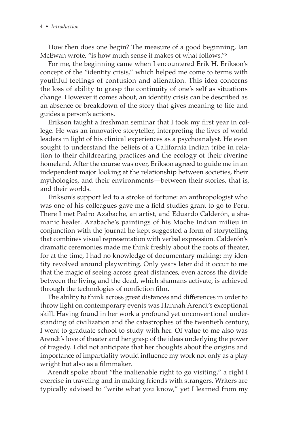How then does one begin? The measure of a good beginning, Ian McEwan wrote, "is how much sense it makes of what follows."<sup>5</sup>

For me, the beginning came when I encountered Erik H. Erikson's concept of the "identity crisis," which helped me come to terms with youthful feelings of confusion and alienation. This idea concerns the loss of ability to grasp the continuity of one's self as situations change. However it comes about, an identity crisis can be described as an absence or breakdown of the story that gives meaning to life and guides a person's actions.

Erikson taught a freshman seminar that I took my first year in college. He was an innovative storyteller, interpreting the lives of world leaders in light of his clinical experiences as a psychoanalyst. He even sought to understand the beliefs of a California Indian tribe in relation to their childrearing practices and the ecology of their riverine homeland. After the course was over, Erikson agreed to guide me in an independent major looking at the relationship between societies, their mythologies, and their environments—between their stories, that is, and their worlds.

Erikson's support led to a stroke of fortune: an anthropologist who was one of his colleagues gave me a field studies grant to go to Peru. There I met Pedro Azabache, an artist, and Eduardo Calderón, a shamanic healer. Azabache's paintings of his Moche Indian milieu in conjunction with the journal he kept suggested a form of storytelling that combines visual representation with verbal expression. Calderón's dramatic ceremonies made me think freshly about the roots of theater, for at the time, I had no knowledge of documentary making; my identity revolved around playwriting. Only years later did it occur to me that the magic of seeing across great distances, even across the divide between the living and the dead, which shamans activate, is achieved through the technologies of nonfiction film.

The ability to think across great distances and differences in order to throw light on contemporary events was Hannah Arendt's exceptional skill. Having found in her work a profound yet unconventional understanding of civilization and the catastrophes of the twentieth century, I went to graduate school to study with her. Of value to me also was Arendt's love of theater and her grasp of the ideas underlying the power of tragedy. I did not anticipate that her thoughts about the origins and importance of impartiality would influence my work not only as a playwright but also as a filmmaker.

Arendt spoke about "the inalienable right to go visiting," a right I exercise in traveling and in making friends with strangers. Writers are typically advised to "write what you know," yet I learned from my